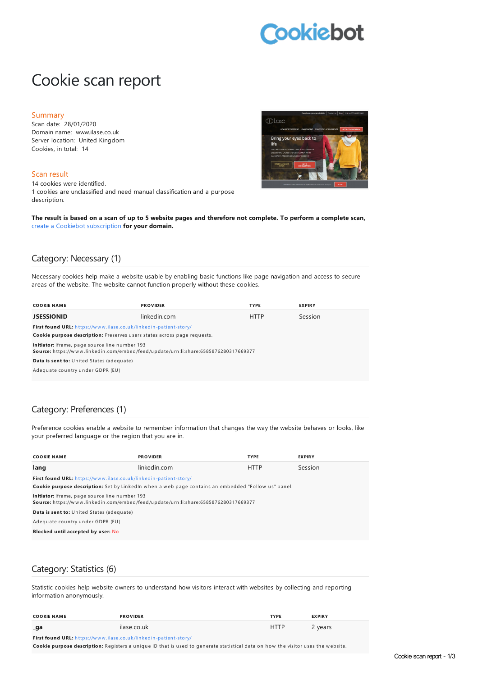# **Cookiebot**

# Cookie scan report

#### Summary

Scan date: 28/01/2020 Domain name: www.ilase.co.uk Server location: United Kingdom Cookies, in total: 14

#### Scan result

14 cookies were identified. 1 cookies are unclassified and need manual classification and a purpose description.



The result is based on a scan of up to 5 website pages and therefore not complete. To perform a complete scan, create a Cookiebot [subscription](https://manage.cookiebot.com/goto/signup) **for your domain.**

#### Category: Necessary (1)

Necessary cookies help make a website usable by enabling basic functions like page navigation and access to secure areas of the website. The website cannot function properly without these cookies.

| <b>COOKIE NAME</b>                                                                                                                    | <b>PROVIDER</b> | <b>TYPE</b> | <b>EXPIRY</b> |
|---------------------------------------------------------------------------------------------------------------------------------------|-----------------|-------------|---------------|
| <b>JSESSIONID</b>                                                                                                                     | linkedin.com    | <b>HTTP</b> | Session       |
| First found URL: https://www.ilase.co.uk/linkedin-patient-story/                                                                      |                 |             |               |
| Cookie purpose description: Preserves users states across page requests.                                                              |                 |             |               |
| Initiator: Iframe, page source line number 193<br>Source: https://www.linkedin.com/embed/feed/update/urn:li:share:6585876280317669377 |                 |             |               |
| Data is sent to: United States (adequate)                                                                                             |                 |             |               |
| Adequate country under GDPR (EU)                                                                                                      |                 |             |               |
|                                                                                                                                       |                 |             |               |

#### Category: Preferences (1)

Preference cookies enable a website to remember information that changes the way the website behaves or looks, like your preferred language or the region that you are in.

| <b>COOKIE NAME</b>                                                                                                                    | <b>PROVIDER</b> | <b>TYPE</b> | <b>EXPIRY</b> |
|---------------------------------------------------------------------------------------------------------------------------------------|-----------------|-------------|---------------|
| lang                                                                                                                                  | linkedin.com    | <b>HTTP</b> | Session       |
| First found URL: https://www.ilase.co.uk/linkedin-patient-story/                                                                      |                 |             |               |
| Cookie purpose description: Set by LinkedIn when a web page contains an embedded "Follow us" panel.                                   |                 |             |               |
| Initiator: Iframe, page source line number 193<br>Source: https://www.linkedin.com/embed/feed/update/urn:li:share:6585876280317669377 |                 |             |               |
| Data is sent to: United States (adequate)                                                                                             |                 |             |               |
| Adequate country under GDPR (EU)                                                                                                      |                 |             |               |
| Blocked until accepted by user: No                                                                                                    |                 |             |               |

#### Category: Statistics (6)

Statistic cookies help website owners to understand how visitors interact with websites by collecting and reporting information anonymously.

| <b>COOKIE NAME</b>                                                                                                                                                                                                             | <b>PROVIDER</b> | <b>TYPE</b> | <b>EXPIRY</b> |
|--------------------------------------------------------------------------------------------------------------------------------------------------------------------------------------------------------------------------------|-----------------|-------------|---------------|
| _ga                                                                                                                                                                                                                            | ilase.co.uk     | <b>HTTP</b> | 2 years       |
| The contract of the contract of the contract of the contract of the contract of the contract of the contract of the contract of the contract of the contract of the contract of the contract of the contract of the contract o |                 |             |               |

**First found URL:** h ttps://w w w [.ilase.co.u](https://www.ilase.co.uk/linkedin-patient-story/) k/lin kedin -patien t-story/

Cookie purpose description: Registers a unique ID that is used to generate statistical data on how the visitor uses the website.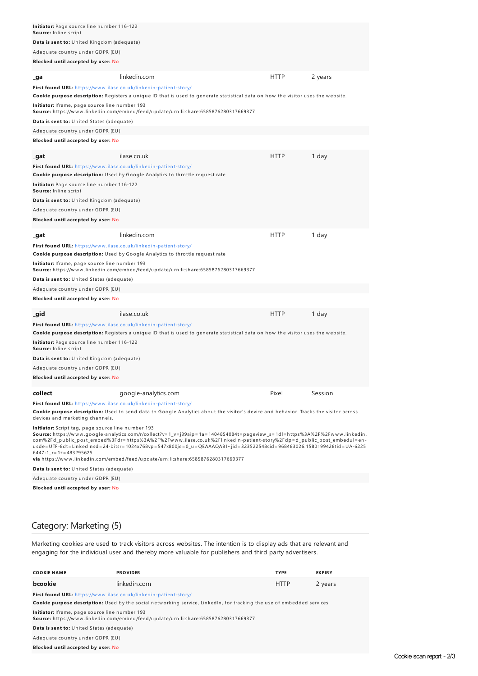| Initiator: Page source line number 116-122<br>linkedin.com<br><b>HTTP</b><br>2 years<br>ilase.co.uk<br><b>HTTP</b><br>1 day<br>linkedin.com<br><b>HTTP</b><br>1 day<br>ilase.co.uk<br><b>HTTP</b><br>1 day<br>google-analytics.com<br>Pixel<br>Session                                                                                                                                                                                                                                                                                                                                                                                                                                                                                                                                                                                                                                                                                                                                                                                                                                                                                                                                                                                                                                                                                                                                                                                                                                                                                                                                                                                                                                                                                                                                                                                                                                                                                                                                                                                                                                                                                                                                                                                                                                                                                |                                                                                                                                                                                                                                                                                                                                                                                              |  |  |  |  |
|---------------------------------------------------------------------------------------------------------------------------------------------------------------------------------------------------------------------------------------------------------------------------------------------------------------------------------------------------------------------------------------------------------------------------------------------------------------------------------------------------------------------------------------------------------------------------------------------------------------------------------------------------------------------------------------------------------------------------------------------------------------------------------------------------------------------------------------------------------------------------------------------------------------------------------------------------------------------------------------------------------------------------------------------------------------------------------------------------------------------------------------------------------------------------------------------------------------------------------------------------------------------------------------------------------------------------------------------------------------------------------------------------------------------------------------------------------------------------------------------------------------------------------------------------------------------------------------------------------------------------------------------------------------------------------------------------------------------------------------------------------------------------------------------------------------------------------------------------------------------------------------------------------------------------------------------------------------------------------------------------------------------------------------------------------------------------------------------------------------------------------------------------------------------------------------------------------------------------------------------------------------------------------------------------------------------------------------|----------------------------------------------------------------------------------------------------------------------------------------------------------------------------------------------------------------------------------------------------------------------------------------------------------------------------------------------------------------------------------------------|--|--|--|--|
| Data is sent to: United Kingdom (adequate)<br>Adequate country under GDPR (EU)<br>Blocked until accepted by user: No<br>_ga<br>First found URL: https://www.ilase.co.uk/linkedin-patient-story/<br>Cookie purpose description: Registers a unique ID that is used to generate statistical data on how the visitor uses the website.<br><b>Initiator:</b> Iframe, page source line number 193<br><b>Source:</b> https://www.linkedin.com/embed/feed/update/urn:li:share:6585876280317669377<br>Data is sent to: United States (adequate)<br>Adequate country under GDPR (EU)<br>Blocked until accepted by user: No<br>_gat<br>First found URL: https://www.ilase.co.uk/linkedin-patient-story/<br>Cookie purpose description: Used by Google Analytics to throttle request rate<br>Initiator: Page source line number 116-122<br>Source: Inline script<br>Data is sent to: United Kingdom (adequate)<br>Adequate country under GDPR (EU)<br>Blocked until accepted by user: No<br>_gat<br>First found URL: https://www.ilase.co.uk/linkedin-patient-story/<br>Cookie purpose description: Used by Google Analytics to throttle request rate<br><b>Initiator:</b> Iframe, page source line number 193<br><b>Source:</b> https://www.linkedin.com/embed/feed/update/urn:li:share:6585876280317669377<br>Data is sent to: United States (adequate)<br>Adequate country under GDPR (EU)<br>Blocked until accepted by user: No<br>_gid<br>First found URL: https://www.ilase.co.uk/linkedin-patient-story/<br><b>Cookie purpose description:</b> Registers a unique ID that is used to generate statistical data on how the visitor uses the website.<br>Initiator: Page source line number 116-122<br>Source: Inline script<br>Data is sent to: United Kingdom (adequate)<br>Adequate country under GDPR (EU)<br>Blocked until accepted by user: No<br>collect<br>First found URL: https://www.ilase.co.uk/linkedin-patient-story/<br><b>Cookie purpose description:</b> Used to send data to Google Analytics about the visitor's device and behavior. Tracks the visitor across<br>devices and marketing channels.<br>Initiator: Script tag, page source line number 193<br>6447-1_r=1z=483295625<br><b>via</b> https://www.linkedin.com/embed/feed/update/urn:li:share:6585876280317669377<br>Data is sent to: United States (adequate) | Source: Inline script                                                                                                                                                                                                                                                                                                                                                                        |  |  |  |  |
|                                                                                                                                                                                                                                                                                                                                                                                                                                                                                                                                                                                                                                                                                                                                                                                                                                                                                                                                                                                                                                                                                                                                                                                                                                                                                                                                                                                                                                                                                                                                                                                                                                                                                                                                                                                                                                                                                                                                                                                                                                                                                                                                                                                                                                                                                                                                       |                                                                                                                                                                                                                                                                                                                                                                                              |  |  |  |  |
|                                                                                                                                                                                                                                                                                                                                                                                                                                                                                                                                                                                                                                                                                                                                                                                                                                                                                                                                                                                                                                                                                                                                                                                                                                                                                                                                                                                                                                                                                                                                                                                                                                                                                                                                                                                                                                                                                                                                                                                                                                                                                                                                                                                                                                                                                                                                       |                                                                                                                                                                                                                                                                                                                                                                                              |  |  |  |  |
|                                                                                                                                                                                                                                                                                                                                                                                                                                                                                                                                                                                                                                                                                                                                                                                                                                                                                                                                                                                                                                                                                                                                                                                                                                                                                                                                                                                                                                                                                                                                                                                                                                                                                                                                                                                                                                                                                                                                                                                                                                                                                                                                                                                                                                                                                                                                       |                                                                                                                                                                                                                                                                                                                                                                                              |  |  |  |  |
|                                                                                                                                                                                                                                                                                                                                                                                                                                                                                                                                                                                                                                                                                                                                                                                                                                                                                                                                                                                                                                                                                                                                                                                                                                                                                                                                                                                                                                                                                                                                                                                                                                                                                                                                                                                                                                                                                                                                                                                                                                                                                                                                                                                                                                                                                                                                       |                                                                                                                                                                                                                                                                                                                                                                                              |  |  |  |  |
|                                                                                                                                                                                                                                                                                                                                                                                                                                                                                                                                                                                                                                                                                                                                                                                                                                                                                                                                                                                                                                                                                                                                                                                                                                                                                                                                                                                                                                                                                                                                                                                                                                                                                                                                                                                                                                                                                                                                                                                                                                                                                                                                                                                                                                                                                                                                       |                                                                                                                                                                                                                                                                                                                                                                                              |  |  |  |  |
|                                                                                                                                                                                                                                                                                                                                                                                                                                                                                                                                                                                                                                                                                                                                                                                                                                                                                                                                                                                                                                                                                                                                                                                                                                                                                                                                                                                                                                                                                                                                                                                                                                                                                                                                                                                                                                                                                                                                                                                                                                                                                                                                                                                                                                                                                                                                       |                                                                                                                                                                                                                                                                                                                                                                                              |  |  |  |  |
|                                                                                                                                                                                                                                                                                                                                                                                                                                                                                                                                                                                                                                                                                                                                                                                                                                                                                                                                                                                                                                                                                                                                                                                                                                                                                                                                                                                                                                                                                                                                                                                                                                                                                                                                                                                                                                                                                                                                                                                                                                                                                                                                                                                                                                                                                                                                       |                                                                                                                                                                                                                                                                                                                                                                                              |  |  |  |  |
|                                                                                                                                                                                                                                                                                                                                                                                                                                                                                                                                                                                                                                                                                                                                                                                                                                                                                                                                                                                                                                                                                                                                                                                                                                                                                                                                                                                                                                                                                                                                                                                                                                                                                                                                                                                                                                                                                                                                                                                                                                                                                                                                                                                                                                                                                                                                       |                                                                                                                                                                                                                                                                                                                                                                                              |  |  |  |  |
|                                                                                                                                                                                                                                                                                                                                                                                                                                                                                                                                                                                                                                                                                                                                                                                                                                                                                                                                                                                                                                                                                                                                                                                                                                                                                                                                                                                                                                                                                                                                                                                                                                                                                                                                                                                                                                                                                                                                                                                                                                                                                                                                                                                                                                                                                                                                       |                                                                                                                                                                                                                                                                                                                                                                                              |  |  |  |  |
|                                                                                                                                                                                                                                                                                                                                                                                                                                                                                                                                                                                                                                                                                                                                                                                                                                                                                                                                                                                                                                                                                                                                                                                                                                                                                                                                                                                                                                                                                                                                                                                                                                                                                                                                                                                                                                                                                                                                                                                                                                                                                                                                                                                                                                                                                                                                       |                                                                                                                                                                                                                                                                                                                                                                                              |  |  |  |  |
|                                                                                                                                                                                                                                                                                                                                                                                                                                                                                                                                                                                                                                                                                                                                                                                                                                                                                                                                                                                                                                                                                                                                                                                                                                                                                                                                                                                                                                                                                                                                                                                                                                                                                                                                                                                                                                                                                                                                                                                                                                                                                                                                                                                                                                                                                                                                       |                                                                                                                                                                                                                                                                                                                                                                                              |  |  |  |  |
|                                                                                                                                                                                                                                                                                                                                                                                                                                                                                                                                                                                                                                                                                                                                                                                                                                                                                                                                                                                                                                                                                                                                                                                                                                                                                                                                                                                                                                                                                                                                                                                                                                                                                                                                                                                                                                                                                                                                                                                                                                                                                                                                                                                                                                                                                                                                       |                                                                                                                                                                                                                                                                                                                                                                                              |  |  |  |  |
|                                                                                                                                                                                                                                                                                                                                                                                                                                                                                                                                                                                                                                                                                                                                                                                                                                                                                                                                                                                                                                                                                                                                                                                                                                                                                                                                                                                                                                                                                                                                                                                                                                                                                                                                                                                                                                                                                                                                                                                                                                                                                                                                                                                                                                                                                                                                       |                                                                                                                                                                                                                                                                                                                                                                                              |  |  |  |  |
|                                                                                                                                                                                                                                                                                                                                                                                                                                                                                                                                                                                                                                                                                                                                                                                                                                                                                                                                                                                                                                                                                                                                                                                                                                                                                                                                                                                                                                                                                                                                                                                                                                                                                                                                                                                                                                                                                                                                                                                                                                                                                                                                                                                                                                                                                                                                       |                                                                                                                                                                                                                                                                                                                                                                                              |  |  |  |  |
|                                                                                                                                                                                                                                                                                                                                                                                                                                                                                                                                                                                                                                                                                                                                                                                                                                                                                                                                                                                                                                                                                                                                                                                                                                                                                                                                                                                                                                                                                                                                                                                                                                                                                                                                                                                                                                                                                                                                                                                                                                                                                                                                                                                                                                                                                                                                       |                                                                                                                                                                                                                                                                                                                                                                                              |  |  |  |  |
|                                                                                                                                                                                                                                                                                                                                                                                                                                                                                                                                                                                                                                                                                                                                                                                                                                                                                                                                                                                                                                                                                                                                                                                                                                                                                                                                                                                                                                                                                                                                                                                                                                                                                                                                                                                                                                                                                                                                                                                                                                                                                                                                                                                                                                                                                                                                       |                                                                                                                                                                                                                                                                                                                                                                                              |  |  |  |  |
|                                                                                                                                                                                                                                                                                                                                                                                                                                                                                                                                                                                                                                                                                                                                                                                                                                                                                                                                                                                                                                                                                                                                                                                                                                                                                                                                                                                                                                                                                                                                                                                                                                                                                                                                                                                                                                                                                                                                                                                                                                                                                                                                                                                                                                                                                                                                       |                                                                                                                                                                                                                                                                                                                                                                                              |  |  |  |  |
|                                                                                                                                                                                                                                                                                                                                                                                                                                                                                                                                                                                                                                                                                                                                                                                                                                                                                                                                                                                                                                                                                                                                                                                                                                                                                                                                                                                                                                                                                                                                                                                                                                                                                                                                                                                                                                                                                                                                                                                                                                                                                                                                                                                                                                                                                                                                       |                                                                                                                                                                                                                                                                                                                                                                                              |  |  |  |  |
|                                                                                                                                                                                                                                                                                                                                                                                                                                                                                                                                                                                                                                                                                                                                                                                                                                                                                                                                                                                                                                                                                                                                                                                                                                                                                                                                                                                                                                                                                                                                                                                                                                                                                                                                                                                                                                                                                                                                                                                                                                                                                                                                                                                                                                                                                                                                       |                                                                                                                                                                                                                                                                                                                                                                                              |  |  |  |  |
|                                                                                                                                                                                                                                                                                                                                                                                                                                                                                                                                                                                                                                                                                                                                                                                                                                                                                                                                                                                                                                                                                                                                                                                                                                                                                                                                                                                                                                                                                                                                                                                                                                                                                                                                                                                                                                                                                                                                                                                                                                                                                                                                                                                                                                                                                                                                       |                                                                                                                                                                                                                                                                                                                                                                                              |  |  |  |  |
|                                                                                                                                                                                                                                                                                                                                                                                                                                                                                                                                                                                                                                                                                                                                                                                                                                                                                                                                                                                                                                                                                                                                                                                                                                                                                                                                                                                                                                                                                                                                                                                                                                                                                                                                                                                                                                                                                                                                                                                                                                                                                                                                                                                                                                                                                                                                       |                                                                                                                                                                                                                                                                                                                                                                                              |  |  |  |  |
|                                                                                                                                                                                                                                                                                                                                                                                                                                                                                                                                                                                                                                                                                                                                                                                                                                                                                                                                                                                                                                                                                                                                                                                                                                                                                                                                                                                                                                                                                                                                                                                                                                                                                                                                                                                                                                                                                                                                                                                                                                                                                                                                                                                                                                                                                                                                       |                                                                                                                                                                                                                                                                                                                                                                                              |  |  |  |  |
|                                                                                                                                                                                                                                                                                                                                                                                                                                                                                                                                                                                                                                                                                                                                                                                                                                                                                                                                                                                                                                                                                                                                                                                                                                                                                                                                                                                                                                                                                                                                                                                                                                                                                                                                                                                                                                                                                                                                                                                                                                                                                                                                                                                                                                                                                                                                       |                                                                                                                                                                                                                                                                                                                                                                                              |  |  |  |  |
|                                                                                                                                                                                                                                                                                                                                                                                                                                                                                                                                                                                                                                                                                                                                                                                                                                                                                                                                                                                                                                                                                                                                                                                                                                                                                                                                                                                                                                                                                                                                                                                                                                                                                                                                                                                                                                                                                                                                                                                                                                                                                                                                                                                                                                                                                                                                       |                                                                                                                                                                                                                                                                                                                                                                                              |  |  |  |  |
|                                                                                                                                                                                                                                                                                                                                                                                                                                                                                                                                                                                                                                                                                                                                                                                                                                                                                                                                                                                                                                                                                                                                                                                                                                                                                                                                                                                                                                                                                                                                                                                                                                                                                                                                                                                                                                                                                                                                                                                                                                                                                                                                                                                                                                                                                                                                       |                                                                                                                                                                                                                                                                                                                                                                                              |  |  |  |  |
|                                                                                                                                                                                                                                                                                                                                                                                                                                                                                                                                                                                                                                                                                                                                                                                                                                                                                                                                                                                                                                                                                                                                                                                                                                                                                                                                                                                                                                                                                                                                                                                                                                                                                                                                                                                                                                                                                                                                                                                                                                                                                                                                                                                                                                                                                                                                       |                                                                                                                                                                                                                                                                                                                                                                                              |  |  |  |  |
|                                                                                                                                                                                                                                                                                                                                                                                                                                                                                                                                                                                                                                                                                                                                                                                                                                                                                                                                                                                                                                                                                                                                                                                                                                                                                                                                                                                                                                                                                                                                                                                                                                                                                                                                                                                                                                                                                                                                                                                                                                                                                                                                                                                                                                                                                                                                       |                                                                                                                                                                                                                                                                                                                                                                                              |  |  |  |  |
|                                                                                                                                                                                                                                                                                                                                                                                                                                                                                                                                                                                                                                                                                                                                                                                                                                                                                                                                                                                                                                                                                                                                                                                                                                                                                                                                                                                                                                                                                                                                                                                                                                                                                                                                                                                                                                                                                                                                                                                                                                                                                                                                                                                                                                                                                                                                       |                                                                                                                                                                                                                                                                                                                                                                                              |  |  |  |  |
|                                                                                                                                                                                                                                                                                                                                                                                                                                                                                                                                                                                                                                                                                                                                                                                                                                                                                                                                                                                                                                                                                                                                                                                                                                                                                                                                                                                                                                                                                                                                                                                                                                                                                                                                                                                                                                                                                                                                                                                                                                                                                                                                                                                                                                                                                                                                       |                                                                                                                                                                                                                                                                                                                                                                                              |  |  |  |  |
|                                                                                                                                                                                                                                                                                                                                                                                                                                                                                                                                                                                                                                                                                                                                                                                                                                                                                                                                                                                                                                                                                                                                                                                                                                                                                                                                                                                                                                                                                                                                                                                                                                                                                                                                                                                                                                                                                                                                                                                                                                                                                                                                                                                                                                                                                                                                       |                                                                                                                                                                                                                                                                                                                                                                                              |  |  |  |  |
|                                                                                                                                                                                                                                                                                                                                                                                                                                                                                                                                                                                                                                                                                                                                                                                                                                                                                                                                                                                                                                                                                                                                                                                                                                                                                                                                                                                                                                                                                                                                                                                                                                                                                                                                                                                                                                                                                                                                                                                                                                                                                                                                                                                                                                                                                                                                       |                                                                                                                                                                                                                                                                                                                                                                                              |  |  |  |  |
|                                                                                                                                                                                                                                                                                                                                                                                                                                                                                                                                                                                                                                                                                                                                                                                                                                                                                                                                                                                                                                                                                                                                                                                                                                                                                                                                                                                                                                                                                                                                                                                                                                                                                                                                                                                                                                                                                                                                                                                                                                                                                                                                                                                                                                                                                                                                       |                                                                                                                                                                                                                                                                                                                                                                                              |  |  |  |  |
|                                                                                                                                                                                                                                                                                                                                                                                                                                                                                                                                                                                                                                                                                                                                                                                                                                                                                                                                                                                                                                                                                                                                                                                                                                                                                                                                                                                                                                                                                                                                                                                                                                                                                                                                                                                                                                                                                                                                                                                                                                                                                                                                                                                                                                                                                                                                       |                                                                                                                                                                                                                                                                                                                                                                                              |  |  |  |  |
|                                                                                                                                                                                                                                                                                                                                                                                                                                                                                                                                                                                                                                                                                                                                                                                                                                                                                                                                                                                                                                                                                                                                                                                                                                                                                                                                                                                                                                                                                                                                                                                                                                                                                                                                                                                                                                                                                                                                                                                                                                                                                                                                                                                                                                                                                                                                       |                                                                                                                                                                                                                                                                                                                                                                                              |  |  |  |  |
|                                                                                                                                                                                                                                                                                                                                                                                                                                                                                                                                                                                                                                                                                                                                                                                                                                                                                                                                                                                                                                                                                                                                                                                                                                                                                                                                                                                                                                                                                                                                                                                                                                                                                                                                                                                                                                                                                                                                                                                                                                                                                                                                                                                                                                                                                                                                       | <b>Source:</b> https://www.google-analytics.com/r/collect?v=1_v=j39aip=1a=1404854084t=pageview_s=1dl=https%3A%2F%2Fwww.linkedin.<br>com%2Fd_public_post_embed%3Fdr=https%3A%2F%2Fwww.ilase.co.uk%2Flinkedin-patient-story%2Fdp=d_public_post_embedul=en-<br>usde= UTF-8dt= LinkedInsd= 24-bitsr= 1024x768vp = 547x800je= 0_u = QEAAAQABI~ jid=323522548cid=968483026.1580199428tid = UA-6225 |  |  |  |  |
|                                                                                                                                                                                                                                                                                                                                                                                                                                                                                                                                                                                                                                                                                                                                                                                                                                                                                                                                                                                                                                                                                                                                                                                                                                                                                                                                                                                                                                                                                                                                                                                                                                                                                                                                                                                                                                                                                                                                                                                                                                                                                                                                                                                                                                                                                                                                       |                                                                                                                                                                                                                                                                                                                                                                                              |  |  |  |  |
| Adequate country under GDPR (EU)                                                                                                                                                                                                                                                                                                                                                                                                                                                                                                                                                                                                                                                                                                                                                                                                                                                                                                                                                                                                                                                                                                                                                                                                                                                                                                                                                                                                                                                                                                                                                                                                                                                                                                                                                                                                                                                                                                                                                                                                                                                                                                                                                                                                                                                                                                      |                                                                                                                                                                                                                                                                                                                                                                                              |  |  |  |  |
| Blocked until accepted by user: No                                                                                                                                                                                                                                                                                                                                                                                                                                                                                                                                                                                                                                                                                                                                                                                                                                                                                                                                                                                                                                                                                                                                                                                                                                                                                                                                                                                                                                                                                                                                                                                                                                                                                                                                                                                                                                                                                                                                                                                                                                                                                                                                                                                                                                                                                                    |                                                                                                                                                                                                                                                                                                                                                                                              |  |  |  |  |

### Category: Marketing (5)

Marketing cookies are used to track visitors across websites. The intention is to display ads that are relevant and engaging for the individual user and thereby more valuable for publishers and third party advertisers.

| <b>COOKIE NAME</b>                                                                                                                    | <b>PROVIDER</b> | <b>TYPE</b> | <b>EXPIRY</b> |
|---------------------------------------------------------------------------------------------------------------------------------------|-----------------|-------------|---------------|
| bcookie                                                                                                                               | linkedin.com    | <b>HTTP</b> | 2 years       |
| First found URL: https://www.ilase.co.uk/linkedin-patient-story/                                                                      |                 |             |               |
| Cookie purpose description: Used by the social networking service, LinkedIn, for tracking the use of embedded services.               |                 |             |               |
| Initiator: Iframe, page source line number 193<br>Source: https://www.linkedin.com/embed/feed/update/urn:li:share:6585876280317669377 |                 |             |               |
| Data is sent to: United States (adequate)                                                                                             |                 |             |               |
| Adequate country under GDPR (EU)                                                                                                      |                 |             |               |
| Blocked until accepted by user: No                                                                                                    |                 |             |               |